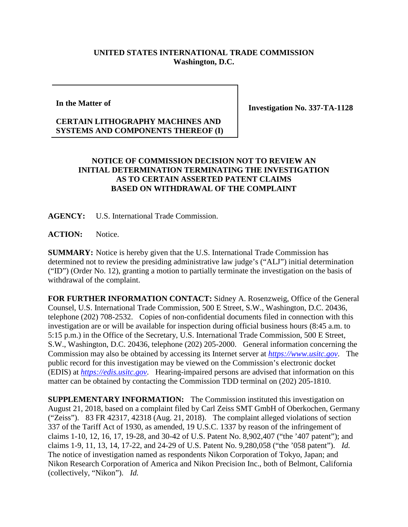## **UNITED STATES INTERNATIONAL TRADE COMMISSION Washington, D.C.**

## **In the Matter of**

**Investigation No. 337-TA-1128**

## **CERTAIN LITHOGRAPHY MACHINES AND SYSTEMS AND COMPONENTS THEREOF (I)**

## **NOTICE OF COMMISSION DECISION NOT TO REVIEW AN INITIAL DETERMINATION TERMINATING THE INVESTIGATION AS TO CERTAIN ASSERTED PATENT CLAIMS BASED ON WITHDRAWAL OF THE COMPLAINT**

**AGENCY:** U.S. International Trade Commission.

ACTION: Notice.

**SUMMARY:** Notice is hereby given that the U.S. International Trade Commission has determined not to review the presiding administrative law judge's ("ALJ") initial determination ("ID") (Order No. 12), granting a motion to partially terminate the investigation on the basis of withdrawal of the complaint.

**FOR FURTHER INFORMATION CONTACT:** Sidney A. Rosenzweig, Office of the General Counsel, U.S. International Trade Commission, 500 E Street, S.W., Washington, D.C. 20436, telephone (202) 708-2532. Copies of non-confidential documents filed in connection with this investigation are or will be available for inspection during official business hours (8:45 a.m. to 5:15 p.m.) in the Office of the Secretary, U.S. International Trade Commission, 500 E Street, S.W., Washington, D.C. 20436, telephone (202) 205-2000. General information concerning the Commission may also be obtained by accessing its Internet server at *[https://www.usitc.gov](https://www.usitc.gov/)*. The public record for this investigation may be viewed on the Commission's electronic docket (EDIS) at *[https://edis.usitc.gov](https://edis.usitc.gov/)*. Hearing-impaired persons are advised that information on this matter can be obtained by contacting the Commission TDD terminal on (202) 205-1810.

**SUPPLEMENTARY INFORMATION:** The Commission instituted this investigation on August 21, 2018, based on a complaint filed by Carl Zeiss SMT GmbH of Oberkochen, Germany ("Zeiss"). 83 FR 42317, 42318 (Aug. 21, 2018). The complaint alleged violations of section 337 of the Tariff Act of 1930, as amended, 19 U.S.C. 1337 by reason of the infringement of claims 1-10, 12, 16, 17, 19-28, and 30-42 of U.S. Patent No. 8,902,407 ("the '407 patent"); and claims 1-9, 11, 13, 14, 17-22, and 24-29 of U.S. Patent No. 9,280,058 ("the '058 patent"). *Id.* The notice of investigation named as respondents Nikon Corporation of Tokyo, Japan; and Nikon Research Corporation of America and Nikon Precision Inc., both of Belmont, California (collectively, "Nikon"). *Id.*